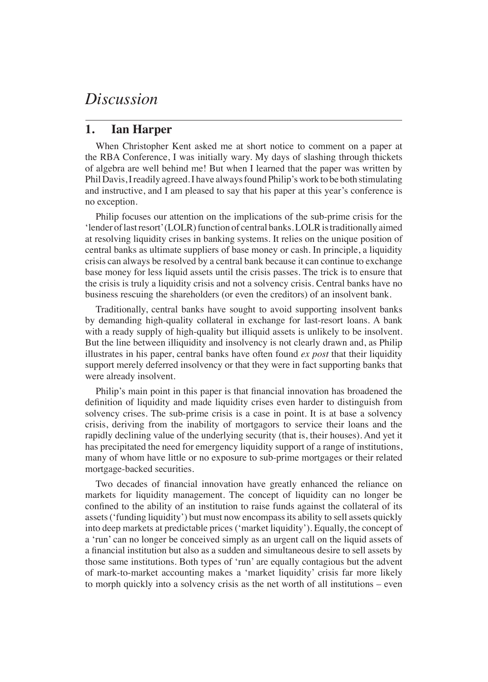## *Discussion*

## **1. Ian Harper**

When Christopher Kent asked me at short notice to comment on a paper at the RBA Conference, I was initially wary. My days of slashing through thickets of algebra are well behind me! But when I learned that the paper was written by Phil Davis, I readily agreed. I have always found Philip's work to be both stimulating and instructive, and I am pleased to say that his paper at this year's conference is no exception.

Philip focuses our attention on the implications of the sub-prime crisis for the 'lender of last resort' (LOLR) function of central banks. LOLR is traditionally aimed at resolving liquidity crises in banking systems. It relies on the unique position of central banks as ultimate suppliers of base money or cash. In principle, a liquidity crisis can always be resolved by a central bank because it can continue to exchange base money for less liquid assets until the crisis passes. The trick is to ensure that the crisis is truly a liquidity crisis and not a solvency crisis. Central banks have no business rescuing the shareholders (or even the creditors) of an insolvent bank.

Traditionally, central banks have sought to avoid supporting insolvent banks by demanding high-quality collateral in exchange for last-resort loans. A bank with a ready supply of high-quality but illiquid assets is unlikely to be insolvent. But the line between illiquidity and insolvency is not clearly drawn and, as Philip illustrates in his paper, central banks have often found *ex post* that their liquidity support merely deferred insolvency or that they were in fact supporting banks that were already insolvent.

Philip's main point in this paper is that financial innovation has broadened the definition of liquidity and made liquidity crises even harder to distinguish from solvency crises. The sub-prime crisis is a case in point. It is at base a solvency crisis, deriving from the inability of mortgagors to service their loans and the rapidly declining value of the underlying security (that is, their houses). And yet it has precipitated the need for emergency liquidity support of a range of institutions, many of whom have little or no exposure to sub-prime mortgages or their related mortgage-backed securities.

Two decades of financial innovation have greatly enhanced the reliance on markets for liquidity management. The concept of liquidity can no longer be confined to the ability of an institution to raise funds against the collateral of its assets ('funding liquidity') but must now encompass its ability to sell assets quickly into deep markets at predictable prices ('market liquidity'). Equally, the concept of a 'run' can no longer be conceived simply as an urgent call on the liquid assets of a financial institution but also as a sudden and simultaneous desire to sell assets by those same institutions. Both types of 'run' are equally contagious but the advent of mark-to-market accounting makes a 'market liquidity' crisis far more likely to morph quickly into a solvency crisis as the net worth of all institutions – even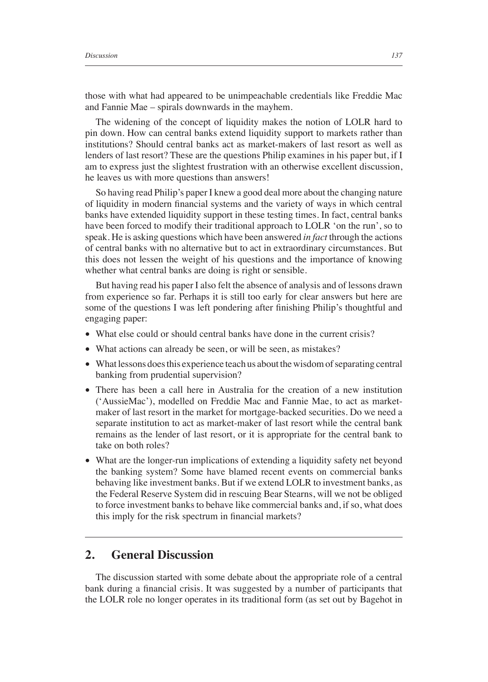those with what had appeared to be unimpeachable credentials like Freddie Mac and Fannie Mae – spirals downwards in the mayhem.

The widening of the concept of liquidity makes the notion of LOLR hard to pin down. How can central banks extend liquidity support to markets rather than institutions? Should central banks act as market-makers of last resort as well as lenders of last resort? These are the questions Philip examines in his paper but, if I am to express just the slightest frustration with an otherwise excellent discussion, he leaves us with more questions than answers!

So having read Philip's paper I knew a good deal more about the changing nature of liquidity in modern financial systems and the variety of ways in which central banks have extended liquidity support in these testing times. In fact, central banks have been forced to modify their traditional approach to LOLR 'on the run', so to speak. He is asking questions which have been answered *in fact* through the actions of central banks with no alternative but to act in extraordinary circumstances. But this does not lessen the weight of his questions and the importance of knowing whether what central banks are doing is right or sensible.

But having read his paper I also felt the absence of analysis and of lessons drawn from experience so far. Perhaps it is still too early for clear answers but here are some of the questions I was left pondering after finishing Philip's thoughtful and engaging paper:

- What else could or should central banks have done in the current crisis?
- What actions can already be seen, or will be seen, as mistakes?
- What lessons does this experience teach us about the wisdom of separating central banking from prudential supervision?
- There has been a call here in Australia for the creation of a new institution ('AussieMac'), modelled on Freddie Mac and Fannie Mae, to act as marketmaker of last resort in the market for mortgage-backed securities. Do we need a separate institution to act as market-maker of last resort while the central bank remains as the lender of last resort, or it is appropriate for the central bank to take on both roles?
- What are the longer-run implications of extending a liquidity safety net beyond the banking system? Some have blamed recent events on commercial banks behaving like investment banks. But if we extend LOLR to investment banks, as the Federal Reserve System did in rescuing Bear Stearns, will we not be obliged to force investment banks to behave like commercial banks and, if so, what does this imply for the risk spectrum in financial markets?

## **2. General Discussion**

The discussion started with some debate about the appropriate role of a central bank during a financial crisis. It was suggested by a number of participants that the LOLR role no longer operates in its traditional form (as set out by Bagehot in